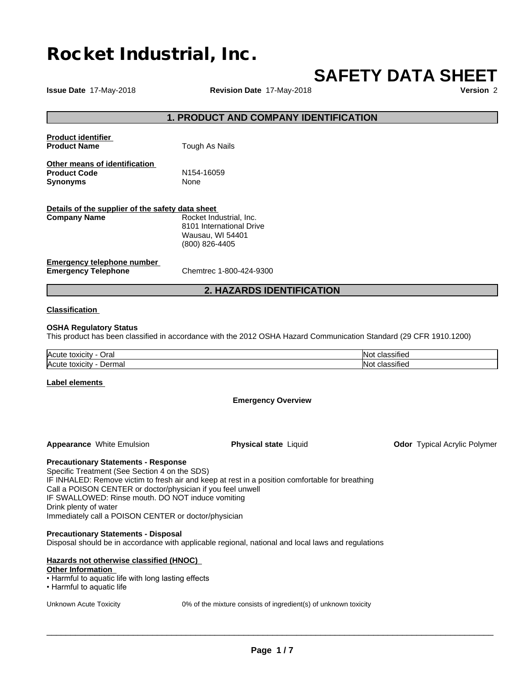# **Rocket Industrial, Inc.**

# **SAFETY DATA SHEET**

**Issue Date** 17-May-2018 **Revision Date** 17-May-2018 **Version** 2

#### **1. PRODUCT AND COMPANY IDENTIFICATION**

| <b>Product identifier</b><br><b>Product Name</b>                        | Tough As Nails                                                                            |
|-------------------------------------------------------------------------|-------------------------------------------------------------------------------------------|
| Other means of identification<br><b>Product Code</b><br><b>Synonyms</b> | N <sub>154</sub> -16059<br>None                                                           |
| Details of the supplier of the safety data sheet<br><b>Company Name</b> | Rocket Industrial, Inc.<br>8101 International Drive<br>Wausau, WI 54401<br>(800) 826-4405 |
| Emergency telephone number                                              |                                                                                           |

**Emergency Telephone** Chemtrec 1-800-424-9300

#### **2. HAZARDS IDENTIFICATION**

#### **Classification**

#### **OSHA Regulatory Status**

This product has been classified in accordance with the 2012 OSHA Hazard Communication Standard (29 CFR 1910.1200)

| Acute<br><br>⊃ral<br>toxicity             | $\cdots$<br>------<br>smeo   |
|-------------------------------------------|------------------------------|
| <b>Acute</b><br>⊇erma⊩<br>toxicity<br>וטש | $\cdots$<br>------<br>sified |

#### **Label elements**

#### **Emergency Overview**

**Appearance** White Emulsion **Physical state** Liquid

**Odor** Typical Acrylic Polymer

**Precautionary Statements - Response**

Specific Treatment (See Section 4 on the SDS) IF INHALED: Remove victim to fresh air and keep at rest in a position comfortable for breathing Call a POISON CENTER or doctor/physician if you feel unwell IF SWALLOWED: Rinse mouth. DO NOT induce vomiting Drink plenty of water Immediately call a POISON CENTER or doctor/physician

#### **Precautionary Statements - Disposal**

Disposal should be in accordance with applicable regional, national and local laws and regulations

#### **Hazards not otherwise classified (HNOC)**

**Other Information**

- Harmful to aquatic life with long lasting effects
- Harmful to aquatic life

Unknown Acute Toxicity 0% of the mixture consists of ingredient(s) of unknown toxicity

 $\overline{\phantom{a}}$  ,  $\overline{\phantom{a}}$  ,  $\overline{\phantom{a}}$  ,  $\overline{\phantom{a}}$  ,  $\overline{\phantom{a}}$  ,  $\overline{\phantom{a}}$  ,  $\overline{\phantom{a}}$  ,  $\overline{\phantom{a}}$  ,  $\overline{\phantom{a}}$  ,  $\overline{\phantom{a}}$  ,  $\overline{\phantom{a}}$  ,  $\overline{\phantom{a}}$  ,  $\overline{\phantom{a}}$  ,  $\overline{\phantom{a}}$  ,  $\overline{\phantom{a}}$  ,  $\overline{\phantom{a}}$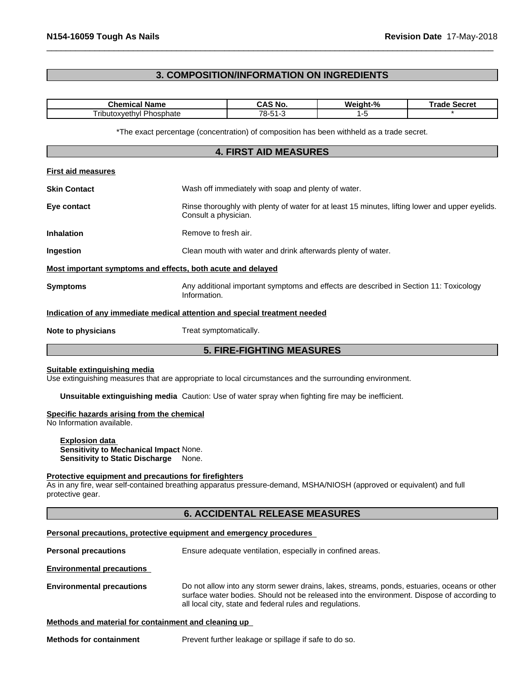## **3. COMPOSITION/INFORMATION ON INGREDIENTS**

| <b>Chemical Name</b>                                                                                                                    |                        | <b>CAS No.</b>                                                                                                          | Weight-%                                                                                          | <b>Trade Secret</b> |
|-----------------------------------------------------------------------------------------------------------------------------------------|------------------------|-------------------------------------------------------------------------------------------------------------------------|---------------------------------------------------------------------------------------------------|---------------------|
| Tributoxyethyl Phosphate                                                                                                                |                        | 78-51-3                                                                                                                 | $1 - 5$                                                                                           |                     |
|                                                                                                                                         |                        |                                                                                                                         | *The exact percentage (concentration) of composition has been withheld as a trade secret.         |                     |
|                                                                                                                                         |                        | <b>4. FIRST AID MEASURES</b>                                                                                            |                                                                                                   |                     |
| <b>First aid measures</b>                                                                                                               |                        |                                                                                                                         |                                                                                                   |                     |
| <b>Skin Contact</b>                                                                                                                     |                        | Wash off immediately with soap and plenty of water.                                                                     |                                                                                                   |                     |
| Eye contact                                                                                                                             |                        | Rinse thoroughly with plenty of water for at least 15 minutes, lifting lower and upper eyelids.<br>Consult a physician. |                                                                                                   |                     |
| <b>Inhalation</b>                                                                                                                       |                        | Remove to fresh air.                                                                                                    |                                                                                                   |                     |
| Ingestion                                                                                                                               |                        | Clean mouth with water and drink afterwards plenty of water.                                                            |                                                                                                   |                     |
| Most important symptoms and effects, both acute and delayed                                                                             |                        |                                                                                                                         |                                                                                                   |                     |
| <b>Symptoms</b>                                                                                                                         | Information.           | Any additional important symptoms and effects are described in Section 11: Toxicology                                   |                                                                                                   |                     |
| Indication of any immediate medical attention and special treatment needed                                                              |                        |                                                                                                                         |                                                                                                   |                     |
| Note to physicians                                                                                                                      | Treat symptomatically. |                                                                                                                         |                                                                                                   |                     |
|                                                                                                                                         |                        | <b>5. FIRE-FIGHTING MEASURES</b>                                                                                        |                                                                                                   |                     |
| Suitable extinguishing media<br>Use extinguishing measures that are appropriate to local circumstances and the surrounding environment. |                        |                                                                                                                         |                                                                                                   |                     |
|                                                                                                                                         |                        |                                                                                                                         | Unsuitable extinguishing media Caution: Use of water spray when fighting fire may be inefficient. |                     |
| Specific hazards arising from the chemical<br>No Information available.                                                                 |                        |                                                                                                                         |                                                                                                   |                     |
| <b>Explosion data</b>                                                                                                                   |                        |                                                                                                                         |                                                                                                   |                     |

**Sensitivity to Mechanical Impact** None. **Sensitivity to Static Discharge** None.

#### **Protective equipment and precautions for firefighters**

As in any fire, wear self-contained breathing apparatus pressure-demand, MSHA/NIOSH (approved or equivalent) and full protective gear.

#### **6. ACCIDENTAL RELEASE MEASURES**

#### **Personal precautions, protective equipment and emergency procedures**

**Personal precautions** Ensure adequate ventilation, especially in confined areas. **Environmental precautions Environmental precautions** Do not allow into any storm sewer drains, lakes, streams, ponds, estuaries, oceans or other surface water bodies. Should not be released into the environment. Dispose of according to all local city, state and federal rules and regulations.

#### **Methods and material for containment and cleaning up**

**Methods for containment** Prevent further leakage or spillage if safe to do so.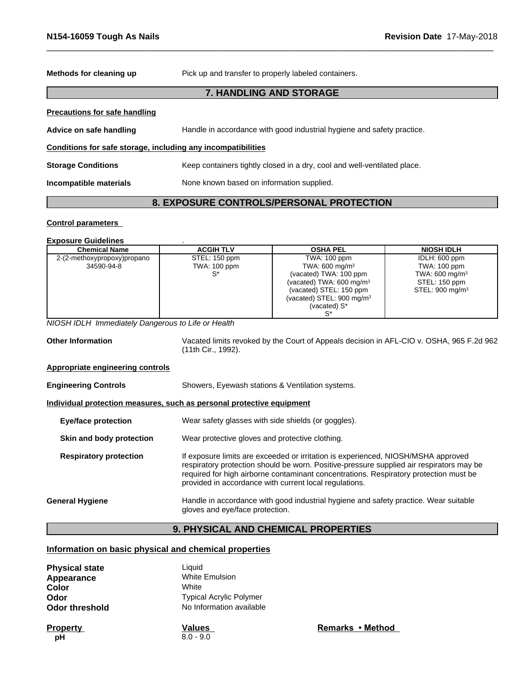| Methods for cleaning up                                      | Pick up and transfer to properly labeled containers.                     |  |
|--------------------------------------------------------------|--------------------------------------------------------------------------|--|
|                                                              | <b>7. HANDLING AND STORAGE</b>                                           |  |
| <b>Precautions for safe handling</b>                         |                                                                          |  |
| Advice on safe handling                                      | Handle in accordance with good industrial hygiene and safety practice.   |  |
| Conditions for safe storage, including any incompatibilities |                                                                          |  |
| <b>Storage Conditions</b>                                    | Keep containers tightly closed in a dry, cool and well-ventilated place. |  |
| Incompatible materials                                       | None known based on information supplied.                                |  |

# **8. EXPOSURE CONTROLS/PERSONAL PROTECTION**

#### **Control parameters**

#### **Exposure Guidelines** .

| <b>Chemical Name</b>        | <b>ACGIH TLV</b> | <b>OSHA PEL</b>                       | <b>NIOSH IDLH</b>           |
|-----------------------------|------------------|---------------------------------------|-----------------------------|
| 2-(2-methoxypropoxy)propano | STEL: 150 ppm    | TWA: 100 ppm                          | IDLH: 600 ppm               |
| 34590-94-8                  | TWA: 100 ppm     | TWA: 600 mg/m <sup>3</sup>            | TWA: 100 ppm                |
|                             |                  | (vacated) TWA: 100 ppm                | TWA: $600 \text{ mg/m}^3$   |
|                             |                  | (vacated) TWA: $600 \text{ mg/m}^3$   | STEL: 150 ppm               |
|                             |                  | (vacated) STEL: 150 ppm               | STEL: 900 mg/m <sup>3</sup> |
|                             |                  | (vacated) STEL: 900 mg/m <sup>3</sup> |                             |
|                             |                  | (vacated) $S^*$                       |                             |
|                             |                  |                                       |                             |

*NIOSH IDLH Immediately Dangerous to Life or Health*

**Other Information** Vacated limits revoked by the Court of Appeals decision in AFL-CIO v.OSHA, 965 F.2d 962 (11th Cir., 1992).

#### **Appropriate engineering controls**

**Engineering Controls** Showers, Eyewash stations & Ventilation systems.

#### **Individual protection measures, such as personal protective equipment**

**Eye/face protection** Wear safety glasses with side shields (or goggles).

**Skin and body protection** Wear protective gloves and protective clothing.

- **Respiratory protection** If exposure limits are exceeded or irritation is experienced, NIOSH/MSHA approved respiratory protection should be worn. Positive-pressure supplied air respirators may be required for high airborne contaminant concentrations. Respiratory protection must be provided in accordance with current local regulations.
- General **Hygiene Handle in accordance with good industrial hygiene and safety practice. Wear suitable** gloves and eye/face protection.

#### **9. PHYSICAL AND CHEMICAL PROPERTIES**

#### **Information on basic physical and chemical properties**

| <b>Physical state</b><br>Appearance | Liauid<br>White Emulsion       |
|-------------------------------------|--------------------------------|
| Color                               | White                          |
| Odor                                | <b>Typical Acrylic Polymer</b> |
| Odor threshold                      | No Information available       |
|                                     |                                |

**pH** 8.0 - 9.0

**Property Remarks** • **Malues Remarks** • **Method**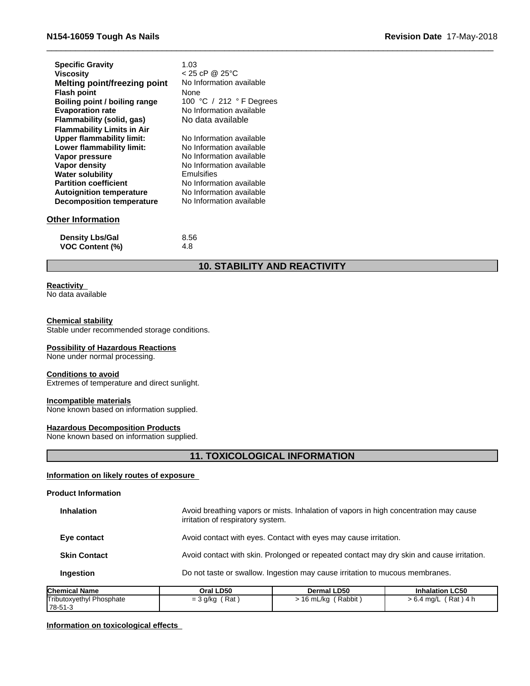|  |  | Revision Date 17-May-2018 |
|--|--|---------------------------|
|--|--|---------------------------|

| <b>Specific Gravity</b>           | 1.03                     |
|-----------------------------------|--------------------------|
| <b>Viscosity</b>                  | $< 25$ cP @ 25°C         |
| Melting point/freezing point      | No Information available |
| <b>Flash point</b>                | None                     |
| Boiling point / boiling range     | 100 °C / 212 °F Degrees  |
| <b>Evaporation rate</b>           | No Information available |
| Flammability (solid, gas)         | No data available        |
| <b>Flammability Limits in Air</b> |                          |
| <b>Upper flammability limit:</b>  | No Information available |
| Lower flammability limit:         | No Information available |
| Vapor pressure                    | No Information available |
| Vapor density                     | No Information available |
| <b>Water solubility</b>           | Emulsifies               |
| <b>Partition coefficient</b>      | No Information available |
| <b>Autoignition temperature</b>   | No Information available |
| <b>Decomposition temperature</b>  | No Information available |
| )thar Information                 |                          |

# **Other Information**

| <b>Density Lbs/Gal</b> | 8.56 |
|------------------------|------|
| <b>VOC Content (%)</b> | 4.8  |

# **10. STABILITY AND REACTIVITY**

# **Reactivity**

No data available

#### **Chemical stability**

Stable under recommended storage conditions.

#### **Possibility of Hazardous Reactions**

None under normal processing.

#### **Conditions to avoid**

Extremes of temperature and direct sunlight.

#### **Incompatible materials**

None known based on information supplied.

#### **Hazardous Decomposition Products**

None known based on information supplied.

### **11. TOXICOLOGICAL INFORMATION**

#### **Information on likely routes of exposure**

#### **Product Information**

| <b>Inhalation</b>   | Avoid breathing vapors or mists. Inhalation of vapors in high concentration may cause<br>irritation of respiratory system. |
|---------------------|----------------------------------------------------------------------------------------------------------------------------|
| Eye contact         | Avoid contact with eyes. Contact with eyes may cause irritation.                                                           |
| <b>Skin Contact</b> | Avoid contact with skin. Prolonged or repeated contact may dry skin and cause irritation.                                  |
| <b>Ingestion</b>    | Do not taste or swallow. Ingestion may cause irritation to mucous membranes.                                               |

| <b>Chemical Name</b>         | Oral LD50                                      | <b>Dermal LD50</b> | <b>Inhalation LC50</b> |
|------------------------------|------------------------------------------------|--------------------|------------------------|
| Tributoxvethyl.<br>Phosphate | Rat<br>g/kg<br>$\overline{\phantom{0}}$<br>ن = | Rabbit<br>⊦6 mL/ka | Rat<br>ma/L ^<br>` 4 h |
| 78-51-3                      |                                                |                    |                        |

#### **Information on toxicological effects**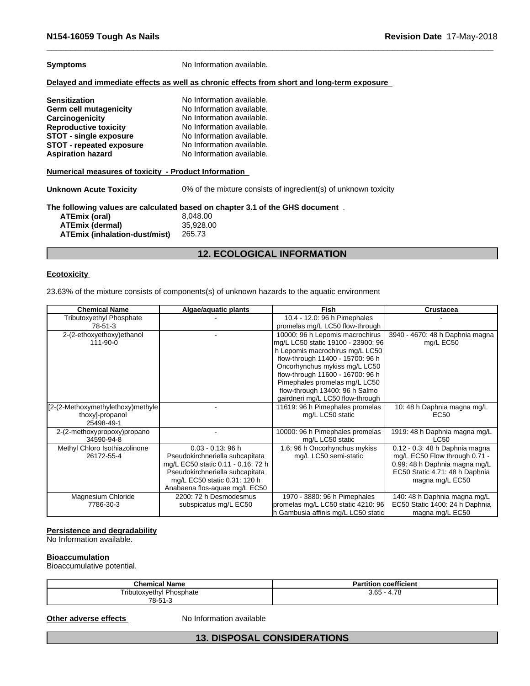**Symptoms** No Information available.

#### **Delayed and immediate effects as well as chronic effects from short and long-term exposure**

| <b>Sensitization</b>                                                                  | No Information available.                                                     |  |  |
|---------------------------------------------------------------------------------------|-------------------------------------------------------------------------------|--|--|
| Germ cell mutagenicity                                                                | No Information available.                                                     |  |  |
| Carcinogenicity                                                                       | No Information available.                                                     |  |  |
| <b>Reproductive toxicity</b>                                                          | No Information available.                                                     |  |  |
| <b>STOT - single exposure</b>                                                         | No Information available.                                                     |  |  |
| <b>STOT - repeated exposure</b>                                                       | No Information available.                                                     |  |  |
| <b>Aspiration hazard</b>                                                              | No Information available.                                                     |  |  |
| Numerical measures of toxicity - Product Information<br><b>Unknown Acute Toxicity</b> | 0% of the mixture consists of ingredient(s) of unknown toxicity               |  |  |
|                                                                                       | The following values are calculated based on chapter 3.1 of the GHS document. |  |  |
| ATEmix (oral)                                                                         | 8.048.00                                                                      |  |  |
| <b>ATEmix (dermal)</b>                                                                | 35,928.00                                                                     |  |  |
| ATEmix (inhalation-dust/mist)                                                         | 265.73                                                                        |  |  |

# **12. ECOLOGICAL INFORMATION**

#### **Ecotoxicity**

23.63% of the mixture consists of components(s) of unknown hazards to the aquatic environment

| <b>Chemical Name</b>               | Algae/aquatic plants               | <b>Fish</b>                         | Crustacea                       |
|------------------------------------|------------------------------------|-------------------------------------|---------------------------------|
| <b>Tributoxyethyl Phosphate</b>    |                                    | 10.4 - 12.0: 96 h Pimephales        |                                 |
| 78-51-3                            |                                    | promelas mg/L LC50 flow-through     |                                 |
| 2-(2-ethoxyethoxy) ethanol         |                                    | 10000: 96 h Lepomis macrochirus     | 3940 - 4670: 48 h Daphnia magna |
| 111-90-0                           |                                    | mg/L LC50 static 19100 - 23900: 96  | mg/L EC50                       |
|                                    |                                    | h Lepomis macrochirus mg/L LC50     |                                 |
|                                    |                                    | flow-through 11400 - 15700: 96 h    |                                 |
|                                    |                                    | Oncorhynchus mykiss mg/L LC50       |                                 |
|                                    |                                    | flow-through 11600 - 16700: 96 h    |                                 |
|                                    |                                    | Pimephales promelas mg/L LC50       |                                 |
|                                    |                                    | flow-through 13400: 96 h Salmo      |                                 |
|                                    |                                    | gairdneri mg/L LC50 flow-through    |                                 |
| [2-(2-Methoxymethylethoxy)methyle] |                                    | 11619: 96 h Pimephales promelas     | 10: 48 h Daphnia magna mg/L     |
| thoxy]-propanol                    |                                    | mg/L LC50 static                    | EC50                            |
| 25498-49-1                         |                                    |                                     |                                 |
| 2-(2-methoxypropoxy)propano        |                                    | 10000: 96 h Pimephales promelas     | 1919: 48 h Daphnia magna mg/L   |
| 34590-94-8                         |                                    | mg/L LC50 static                    | <b>LC50</b>                     |
| Methyl Chloro Isothiazolinone      | $0.03 - 0.13$ : 96 h               | 1.6: 96 h Oncorhynchus mykiss       | 0.12 - 0.3: 48 h Daphnia magna  |
| 26172-55-4                         | Pseudokirchneriella subcapitata    | mg/L LC50 semi-static               | mg/L EC50 Flow through 0.71 -   |
|                                    | mg/L EC50 static 0.11 - 0.16: 72 h |                                     | 0.99: 48 h Daphnia magna mg/L   |
|                                    | Pseudokirchneriella subcapitata    |                                     | EC50 Static 4.71: 48 h Daphnia  |
|                                    | mg/L EC50 static 0.31: 120 h       |                                     | magna mg/L EC50                 |
|                                    | Anabaena flos-aquae mg/L EC50      |                                     |                                 |
| Magnesium Chloride                 | 2200: 72 h Desmodesmus             | 1970 - 3880: 96 h Pimephales        | 140: 48 h Daphnia magna mg/L    |
| 7786-30-3                          | subspicatus mg/L EC50              | promelas mg/L LC50 static 4210: 96  | EC50 Static 1400: 24 h Daphnia  |
|                                    |                                    | h Gambusia affinis mg/L LC50 static | magna mg/L EC50                 |

# **Persistence and degradability**

No Information available.

#### **Bioaccumulation**

Bioaccumulative potential.

| <b>Chemical Name</b>            | coefficient<br><b>Partition</b> |
|---------------------------------|---------------------------------|
| <b>Tributoxyethyl Phosphate</b> | 4.78                            |
| 78-51-3                         | $3.65 - 4.$                     |

#### **Other adverse effects** No Information available

# **13. DISPOSAL CONSIDERATIONS**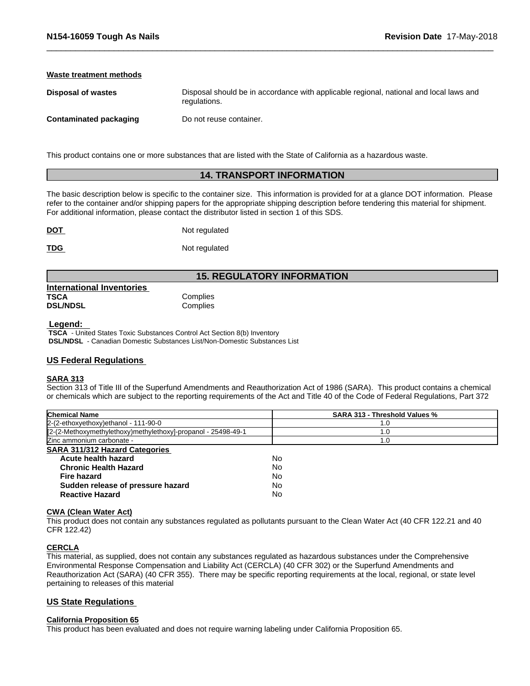#### **Waste treatment methods**

| <b>Disposal of wastes</b>     | Disposal should be in accordance with applicable regional, national and local laws and<br>regulations. |
|-------------------------------|--------------------------------------------------------------------------------------------------------|
| <b>Contaminated packaging</b> | Do not reuse container.                                                                                |

This product contains one or more substances that are listed with the State of California as a hazardous waste.

#### **14. TRANSPORT INFORMATION**

The basic description below is specific to the container size. This information is provided for at a glance DOT information. Please refer to the container and/or shipping papers for the appropriate shipping description before tendering this material for shipment. For additional information, please contact the distributor listed in section 1 of this SDS.

**DOT** Not regulated

**TDG** Not regulated

## **15. REGULATORY INFORMATION**

| <b>International Inventories</b> |          |  |
|----------------------------------|----------|--|
| <b>TSCA</b>                      | Complies |  |
| <b>DSL/NDSL</b>                  | Complies |  |

 **Legend:** 

 **TSCA** - United States Toxic Substances Control Act Section 8(b) Inventory  **DSL/NDSL** - Canadian Domestic Substances List/Non-Domestic Substances List

#### **US Federal Regulations**

#### **SARA 313**

Section 313 of Title III of the Superfund Amendments and Reauthorization Act of 1986 (SARA). This product contains a chemical or chemicals which are subject to the reporting requirements of the Act and Title 40 of the Code of Federal Regulations, Part 372

| <b>Chemical Name</b>                                          | <b>SARA 313 - Threshold Values %</b> |  |
|---------------------------------------------------------------|--------------------------------------|--|
| 2-(2-ethoxyethoxy) ethanol - 111-90-0                         | 1.0                                  |  |
| [2-(2-Methoxymethylethoxy)methylethoxy]-propanol - 25498-49-1 | 1.0                                  |  |
| Zinc ammonium carbonate -                                     | 0. ا                                 |  |
| <b>SARA 311/312 Hazard Categories</b>                         |                                      |  |
| Acute health hazard                                           | No                                   |  |
| <b>Chronic Health Hazard</b>                                  | No                                   |  |
| <b>Fire hazard</b>                                            | No                                   |  |
| Sudden release of pressure hazard                             | No                                   |  |
| <b>Reactive Hazard</b>                                        | No                                   |  |

#### **CWA (Clean WaterAct)**

This product does not contain any substances regulated as pollutants pursuant to the Clean Water Act (40 CFR 122.21 and 40 CFR 122.42)

#### **CERCLA**

This material, as supplied, does not contain any substances regulated as hazardous substances under the Comprehensive Environmental Response Compensation and Liability Act (CERCLA) (40 CFR 302) or the Superfund Amendments and Reauthorization Act (SARA) (40 CFR 355). There may be specific reporting requirements at the local, regional, or state level pertaining to releases of this material

#### **US State Regulations**

#### **California Proposition 65**

This product has been evaluated and does not require warning labeling under California Proposition 65.